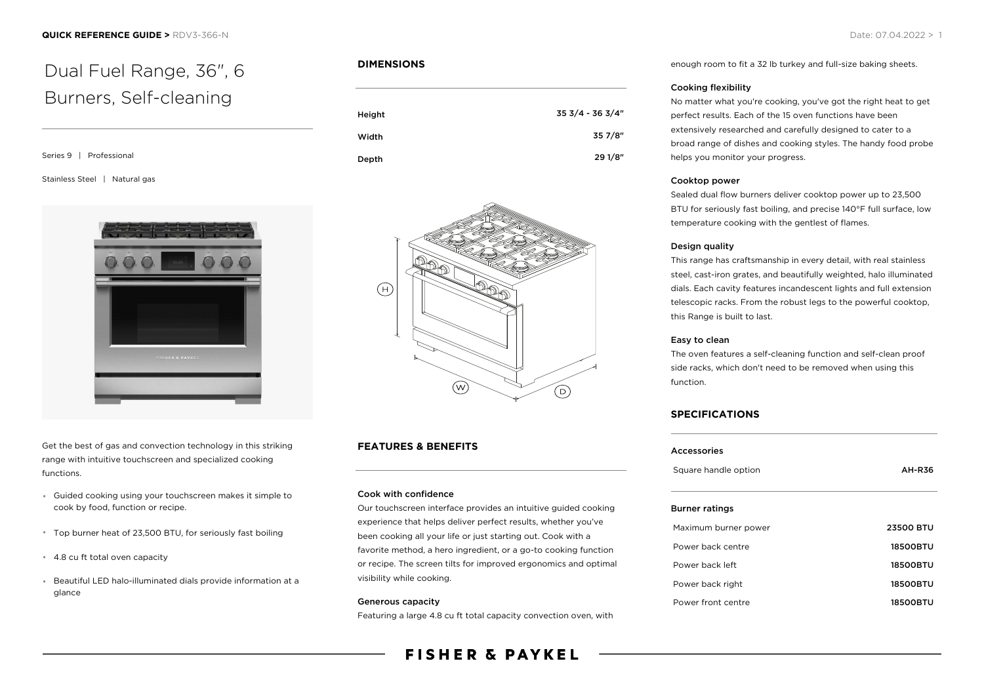# Dual Fuel Range, 36", 6 Burners, Self-cleaning

Series 9 | Professional

#### Stainless Steel | Natural gas



Get the best of gas and convection technology in this striking range with intuitive touchscreen and specialized cooking functions.

- Guided cooking using your touchscreen makes it simple to cook by food, function or recipe.
- Top burner heat of 23,500 BTU, for seriously fast boiling
- 4.8 cu ft total oven capacity
- Beautiful LED halo-illuminated dials provide information at a glance

#### **DIMENSIONS**

| Height | 35 3/4 - 36 3/4" |
|--------|------------------|
| Width  | 35 7/8"          |
| Depth  | 29 1/8"          |



#### **FEATURES & BENEFITS**

#### Cook with confidence

Our touchscreen interface provides an intuitive guided cooking experience that helps deliver perfect results, whether you've been cooking all your life or just starting out. Cook with a favorite method, a hero ingredient, or a go-to cooking function or recipe. The screen tilts for improved ergonomics and optimal visibility while cooking.

#### Generous capacity

Featuring a large 4.8 cu ft total capacity convection oven, with

## **FISHER & PAYKEL**

enough room to fit a 32 lb turkey and full-size baking sheets.

#### Cooking flexibility

No matter what you're cooking, you've got the right heat to get perfect results. Each of the 15 oven functions have been extensively researched and carefully designed to cater to a broad range of dishes and cooking styles. The handy food probe helps you monitor your progress.

#### Cooktop power

Sealed dual flow burners deliver cooktop power up to 23,500 BTU for seriously fast boiling, and precise 140°F full surface, low temperature cooking with the gentlest of flames.

#### Design quality

This range has craftsmanship in every detail, with real stainless steel, cast-iron grates, and beautifully weighted, halo illuminated dials. Each cavity features incandescent lights and full extension telescopic racks. From the robust legs to the powerful cooktop, this Range is built to last.

#### Easy to clean

The oven features a self-cleaning function and self-clean proof side racks, which don't need to be removed when using this function.

#### **SPECIFICATIONS**

| <b>Accessories</b> |  |  |
|--------------------|--|--|
| <b>AH-R36</b>      |  |  |
|                    |  |  |
| <b>23500 BTU</b>   |  |  |
| <b>18500BTU</b>    |  |  |
| <b>18500BTU</b>    |  |  |
| <b>18500BTU</b>    |  |  |
| 18500BTU           |  |  |
|                    |  |  |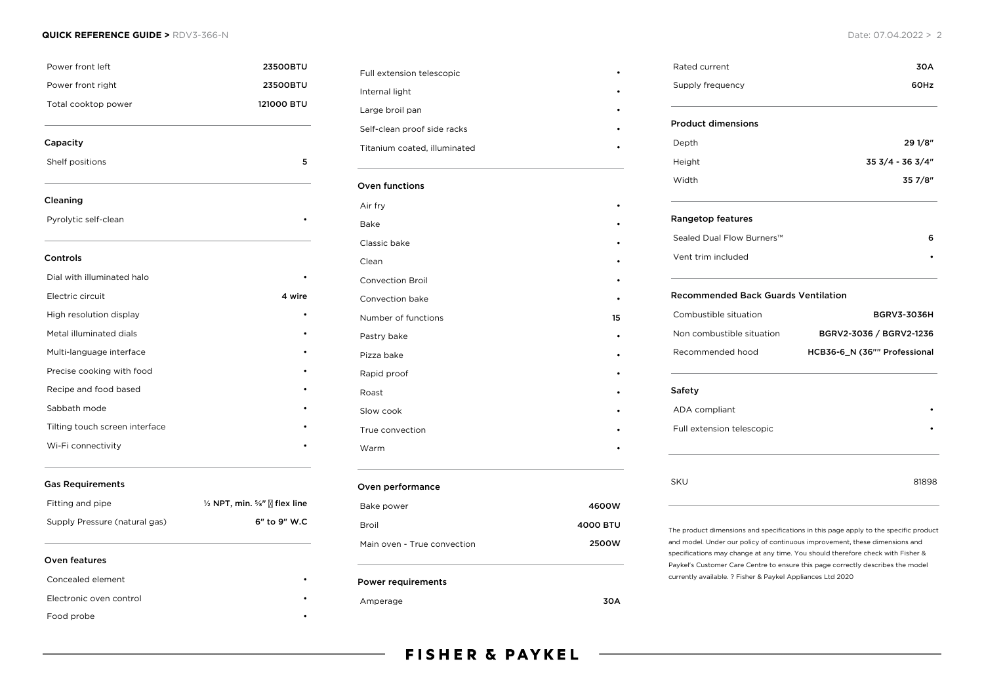#### **QUICK REFERENCE GUIDE >** RDV3-366-N Date: 07.04.2022 > 2

| Power front left<br>Power front right<br>Total cooktop power | 23500BTU<br>23500BTU<br>121000 BTU              |                 |   |
|--------------------------------------------------------------|-------------------------------------------------|-----------------|---|
|                                                              |                                                 | Capacity        |   |
|                                                              |                                                 | Shelf positions | 5 |
| Cleaning                                                     |                                                 |                 |   |
| Pyrolytic self-clean                                         |                                                 |                 |   |
| Controls                                                     |                                                 |                 |   |
| Dial with illuminated halo                                   |                                                 |                 |   |
| Electric circuit                                             | 4 wire                                          |                 |   |
| High resolution display                                      |                                                 |                 |   |
| Metal illuminated dials                                      |                                                 |                 |   |
| Multi-language interface                                     |                                                 |                 |   |
| Precise cooking with food                                    |                                                 |                 |   |
| Recipe and food based                                        |                                                 |                 |   |
| Sabbath mode                                                 |                                                 |                 |   |
| Tilting touch screen interface                               |                                                 |                 |   |
| Wi-Fi connectivity                                           |                                                 |                 |   |
| <b>Gas Requirements</b>                                      |                                                 |                 |   |
| Fitting and pipe                                             | $\frac{1}{2}$ NPT, min. %" $\sqrt{2}$ flex line |                 |   |
| Supply Pressure (natural gas)                                | 6" to 9" W.C                                    |                 |   |
| Oven features                                                |                                                 |                 |   |
| Concealed element                                            |                                                 |                 |   |
| Electronic oven control                                      |                                                 |                 |   |

Food probe

| Full extension telescopic    |          |
|------------------------------|----------|
| Internal light               |          |
| Large broil pan              |          |
| Self-clean proof side racks  |          |
| Titanium coated, illuminated |          |
| Oven functions               |          |
| Air fry                      |          |
| Bake                         |          |
| Classic bake                 |          |
| Clean                        |          |
| <b>Convection Broil</b>      |          |
| Convection bake              |          |
| Number of functions          | 15       |
| Pastry bake                  |          |
| Pizza bake                   |          |
| Rapid proof                  |          |
| Roast                        |          |
| Slow cook                    |          |
| True convection              |          |
| Warm                         |          |
| Oven performance             |          |
| Bake power                   | 4600W    |
| <b>Broil</b>                 | 4000 BTU |

### Power requirements

### Amperage 30A

Supply frequency **60Hz** Product dimensions Depth 29 1/8" Height 35 3/4 - 36 3/4" Width 35 7/8" Rangetop features Sealed Dual Flow Burners™ 6 Vent trim included • Recommended Back Guards Ventilation Combustible situation BGRV3-3036H Non combustible situation BGRV2-3036 / BGRV2-1236 Recommended hood **HCB36-6\_N (36"" Professional** Safety ADA compliant Full extension telescopic • SKU 81898 The product dimensions and specifications in this page apply to the specific product and model. Under our policy of continuous improvement, these dimensions and specifications may change at any time. You should therefore check with Fisher &

Paykel's Customer Care Centre to ensure this page correctly describes the model

currently available. ? Fisher & Paykel Appliances Ltd 2020

Rated current 30A

Main oven - True convection **2500W**